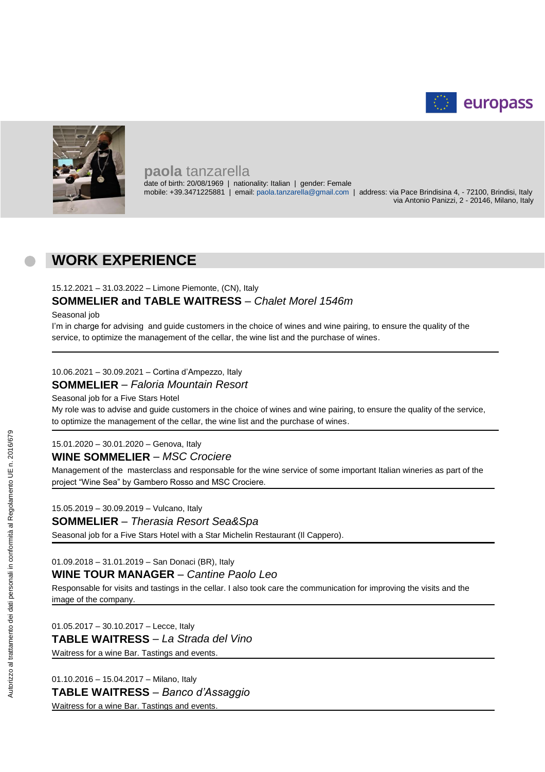



### **paola** tanzarella

date of birth: 20/08/1969 | nationality: Italian | gender: Female mobile: +39.3471225881 | email: paola.tanzarella@gmail.com | address: via Pace Brindisina 4, - 72100, Brindisi, Italy via Antonio Panizzi, 2 - 20146, Milano, Italy

## **WORK EXPERIENCE**

15.12.2021 – 31.03.2022 – Limone Piemonte, (CN), Italy

### **SOMMELIER and TABLE WAITRESS** – *Chalet Morel 1546m*

Seasonal job

I'm in charge for advising and guide customers in the choice of wines and wine pairing, to ensure the quality of the service, to optimize the management of the cellar, the wine list and the purchase of wines.

### 10.06.2021 – 30.09.2021 – Cortina d'Ampezzo, Italy **SOMMELIER** – *Faloria Mountain Resort*

Seasonal job for a Five Stars Hotel

My role was to advise and guide customers in the choice of wines and wine pairing, to ensure the quality of the service, to optimize the management of the cellar, the wine list and the purchase of wines.

#### 15.01.2020 – 30.01.2020 – Genova, Italy

#### **WINE SOMMELIER** – *MSC Crociere*

Management of the masterclass and responsable for the wine service of some important Italian wineries as part of the project "Wine Sea" by Gambero Rosso and MSC Crociere.

15.05.2019 – 30.09.2019 – Vulcano, Italy

#### **SOMMELIER** – *Therasia Resort Sea&Spa*

Seasonal job for a Five Stars Hotel with a Star Michelin Restaurant (Il Cappero).

01.09.2018 – 31.01.2019 – San Donaci (BR), Italy

### **WINE TOUR MANAGER** – *Cantine Paolo Leo*

Responsable for visits and tastings in the cellar. I also took care the communication for improving the visits and the image of the company.

01.05.2017 – 30.10.2017 – Lecce, Italy **TABLE WAITRESS** – *La Strada del Vino* Waitress for a wine Bar. Tastings and events.

01.10.2016 – 15.04.2017 – Milano, Italy **TABLE WAITRESS** – *Banco d'Assaggio* Waitress for a wine Bar. Tastings and events.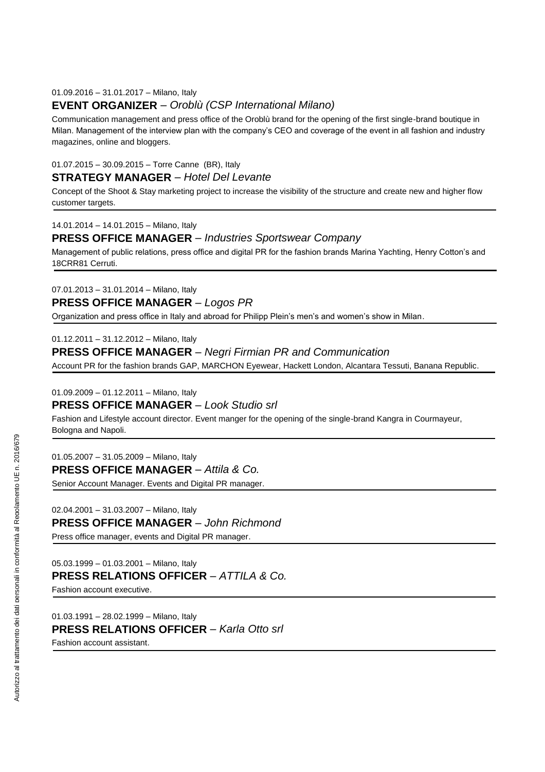#### 01.09.2016 – 31.01.2017 – Milano, Italy

### **EVENT ORGANIZER** – *Oroblù (CSP International Milano)*

Communication management and press office of the Oroblù brand for the opening of the first single-brand boutique in Milan. Management of the interview plan with the company's CEO and coverage of the event in all fashion and industry magazines, online and bloggers.

#### 01.07.2015 – 30.09.2015 – Torre Canne (BR), Italy

#### **STRATEGY MANAGER** – *Hotel Del Levante*

Concept of the Shoot & Stay marketing project to increase the visibility of the structure and create new and higher flow customer targets.

14.01.2014 – 14.01.2015 – Milano, Italy

#### **PRESS OFFICE MANAGER** – *Industries Sportswear Company*

Management of public relations, press office and digital PR for the fashion brands Marina Yachting, Henry Cotton's and 18CRR81 Cerruti.

07.01.2013 – 31.01.2014 – Milano, Italy

**PRESS OFFICE MANAGER** – *Logos PR*

Organization and press office in Italy and abroad for Philipp Plein's men's and women's show in Milan.

01.12.2011 – 31.12.2012 – Milano, Italy

**PRESS OFFICE MANAGER** – *Negri Firmian PR and Communication*

Account PR for the fashion brands GAP, MARCHON Eyewear, Hackett London, Alcantara Tessuti, Banana Republic.

01.09.2009 – 01.12.2011 – Milano, Italy

#### **PRESS OFFICE MANAGER** – *Look Studio srl*

Fashion and Lifestyle account director. Event manger for the opening of the single-brand Kangra in Courmayeur, Bologna and Napoli.

01.05.2007 – 31.05.2009 – Milano, Italy **PRESS OFFICE MANAGER** – *Attila & Co.*

Senior Account Manager. Events and Digital PR manager.

02.04.2001 – 31.03.2007 – Milano, Italy **PRESS OFFICE MANAGER** – *John Richmond* Press office manager, events and Digital PR manager.

05.03.1999 – 01.03.2001 – Milano, Italy

**PRESS RELATIONS OFFICER** – *ATTILA & Co.*

Fashion account executive.

01.03.1991 – 28.02.1999 – Milano, Italy **PRESS RELATIONS OFFICER** – *Karla Otto srl* Fashion account assistant.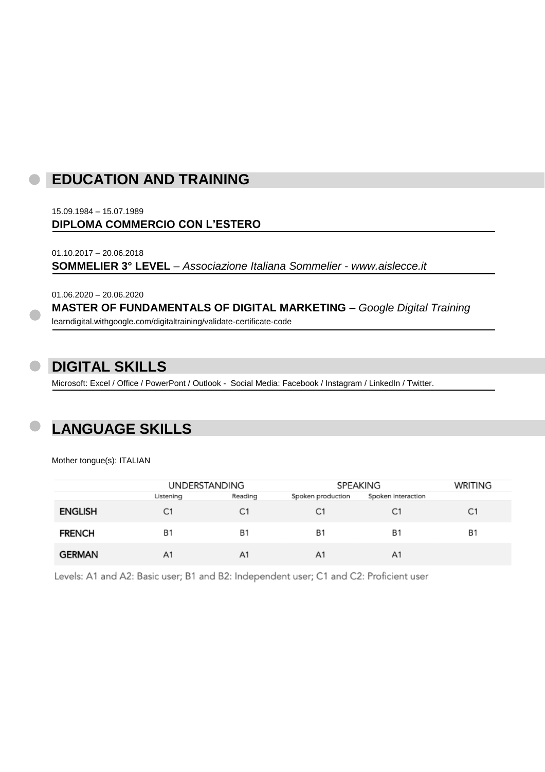## **EDUCATION AND TRAINING**

15.09.1984 – 15.07.1989 **DIPLOMA COMMERCIO CON L'ESTERO**

01.10.2017 – 20.06.2018 **SOMMELIER 3° LEVEL** – *Associazione Italiana Sommelier* - *www.aislecce.it*

01.06.2020 – 20.06.2020

**MASTER OF FUNDAMENTALS OF DIGITAL MARKETING** – *Google Digital Training*

learndigital.withgoogle.com/digitaltraining/validate-certificate-code

## **DIGITAL SKILLS**

Microsoft: Excel / Office / PowerPont / Outlook - Social Media: Facebook / Instagram / LinkedIn / Twitter.

# **LANGUAGE SKILLS**

Mother tongue(s): ITALIAN

|                | <b>UNDERSTANDING</b> |           | SPEAKING          |                    | WRITING   |
|----------------|----------------------|-----------|-------------------|--------------------|-----------|
|                | Listening            | Reading   | Spoken production | Spoken interaction |           |
| <b>ENGLISH</b> | C1                   | C1        | C <sub>1</sub>    | C1                 | C1        |
| <b>FRENCH</b>  | <b>B1</b>            | <b>B1</b> | <b>B1</b>         | <b>B1</b>          | <b>B1</b> |
| <b>GERMAN</b>  | A <sub>1</sub>       | A1        | A1                | A <sub>1</sub>     |           |

Levels: A1 and A2: Basic user; B1 and B2: Independent user; C1 and C2: Proficient user